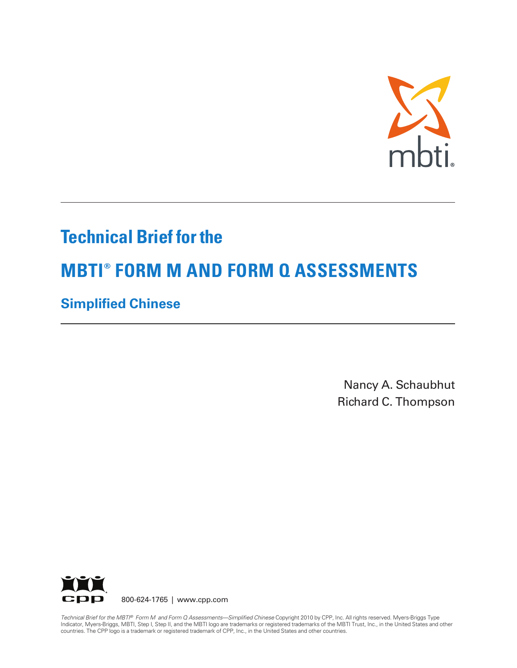

## **Technical Brief for the**

# **MBTI® FORM M AND FORM Q ASSESSMENTS**

## **Simplified Chinese**

Nancy A. Schaubhut Richard C. Thompson



800-624-1765 | www.cpp.com

*Technical Brief for the MBTI® Form M and Form Q Assessments—Simplified Chinese* Copyright 2010 by CPP, Inc. All rights reserved. Myers-Briggs Type Indicator, Myers-Briggs, MBTI, Step I, Step II, and the MBTI logo are trademarks or registered trademarks of the MBTI Trust, Inc., in the United States and other countries. The CPP logo is a trademark or registered trademark of CPP, Inc., in the United States and other countries.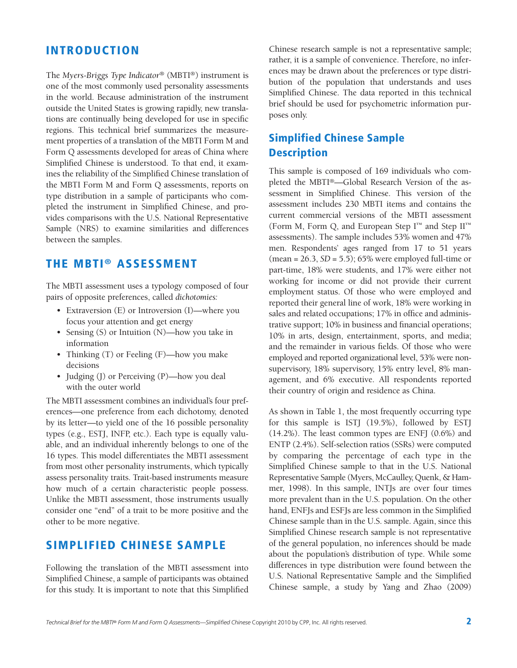### **INTRODUCTION**

The *Myers-Briggs Type Indicator®* (MBTI®) instrument is one of the most commonly used personality assessments in the world. Because administration of the instrument outside the United States is growing rapidly, new translations are continually being developed for use in specific regions. This technical brief summarizes the measurement properties of a translation of the MBTI Form M and Form Q assessments developed for areas of China where Simplified Chinese is understood. To that end, it examines the reliability of the Simplified Chinese translation of the MBTI Form M and Form Q assessments, reports on type distribution in a sample of participants who completed the instrument in Simplified Chinese, and provides comparisons with the U.S. National Representative Sample (NRS) to examine similarities and differences between the samples.

### **THE MBTI ® ASSESSMENT**

The MBTI assessment uses a typology composed of four pairs of opposite preferences, called *dichotomies:*

- Extraversion (E) or Introversion (I)—where you focus your attention and get energy
- Sensing (S) or Intuition (N)—how you take in information
- Thinking (T) or Feeling (F)—how you make decisions
- Judging (J) or Perceiving (P)—how you deal with the outer world

The MBTI assessment combines an individual's four preferences—one preference from each dichotomy, denoted by its letter—to yield one of the 16 possible personality types (e.g., ESTJ, INFP, etc.). Each type is equally valuable, and an individual inherently belongs to one of the 16 types. This model differentiates the MBTI assessment from most other personality instruments, which typically assess personality traits. Trait-based instruments measure how much of a certain characteristic people possess. Unlike the MBTI assessment, those instruments usually consider one "end" of a trait to be more positive and the other to be more negative.

### **SIMPLIFIED CHINESE SAMPLE**

Following the translation of the MBTI assessment into Simplified Chinese, a sample of participants was obtained for this study. It is important to note that this Simplified

Chinese research sample is not a representative sample; rather, it is a sample of convenience. Therefore, no inferences may be drawn about the preferences or type distribution of the population that understands and uses Simplified Chinese. The data reported in this technical brief should be used for psychometric information purposes only.

### **Simplified Chinese Sample Description**

This sample is composed of 169 individuals who completed the MBTI®—Global Research Version of the assessment in Simplified Chinese. This version of the assessment includes 230 MBTI items and contains the current commercial versions of the MBTI assessment (Form M, Form Q, and European Step I™ and Step II™ assessments). The sample includes 53% women and 47% men. Respondents' ages ranged from 17 to 51 years (mean = 26.3, *SD* = 5.5); 65% were employed full-time or part-time, 18% were students, and 17% were either not working for income or did not provide their current employment status. Of those who were employed and reported their general line of work, 18% were working in sales and related occupations; 17% in office and administrative support; 10% in business and financial operations; 10% in arts, design, entertainment, sports, and media; and the remainder in various fields. Of those who were employed and reported organizational level, 53% were nonsupervisory, 18% supervisory, 15% entry level, 8% management, and 6% executive. All respondents reported their country of origin and residence as China.

As shown in Table 1, the most frequently occurring type for this sample is ISTJ (19.5%), followed by ESTJ (14.2%). The least common types are ENFJ (0.6%) and ENTP (2.4%). Self-selection ratios (SSRs) were computed by comparing the percentage of each type in the Simplified Chinese sample to that in the U.S. National Representative Sample (Myers, McCaulley, Quenk, & Hammer, 1998). In this sample, INTJs are over four times more prevalent than in the U.S. population. On the other hand, ENFJs and ESFJs are less common in the Simplified Chinese sample than in the U.S. sample. Again, since this Simplified Chinese research sample is not representative of the general population, no inferences should be made about the population's distribution of type. While some differences in type distribution were found between the U.S. National Representative Sample and the Simplified Chinese sample, a study by Yang and Zhao (2009)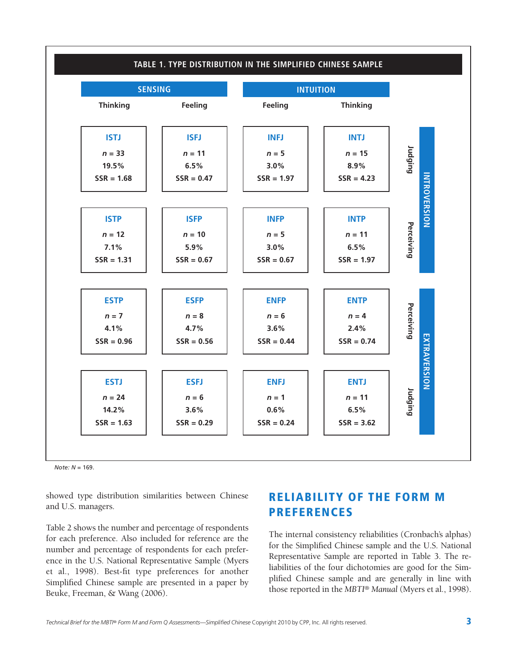

*Note: N* = 169.

showed type distribution similarities between Chinese and U.S. managers.

Table 2 shows the number and percentage of respondents for each preference. Also included for reference are the number and percentage of respondents for each preference in the U.S. National Representative Sample (Myers et al., 1998). Best-fit type preferences for another Simplified Chinese sample are presented in a paper by Beuke, Freeman, & Wang (2006).

### **RELIABILITY OF THE FORM M PREFERENCES**

The internal consistency reliabilities (Cronbach's alphas) for the Simplified Chinese sample and the U.S. National Representative Sample are reported in Table 3. The reliabilities of the four dichotomies are good for the Simplified Chinese sample and are generally in line with those reported in the *MBTI® Manual* (Myers et al., 1998).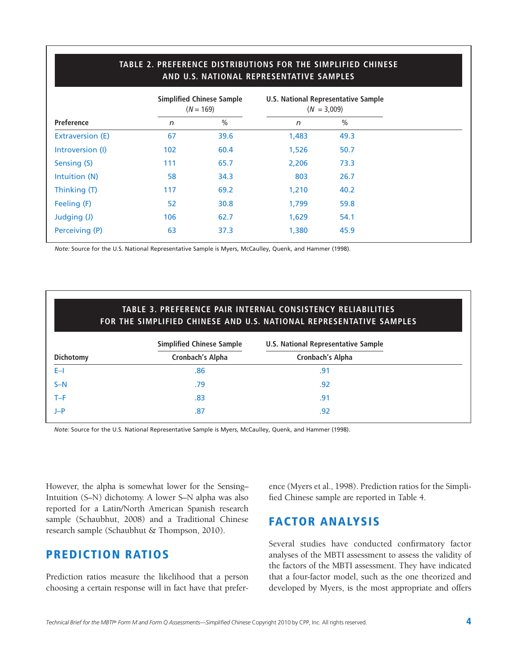|                         | AND U.S. NATIONAL REPRESENTATIVE SAMPLES |                                                 |              |                                                      |  |  |  |
|-------------------------|------------------------------------------|-------------------------------------------------|--------------|------------------------------------------------------|--|--|--|
|                         |                                          | <b>Simplified Chinese Sample</b><br>$(N = 169)$ |              | U.S. National Representative Sample<br>$(N = 3,009)$ |  |  |  |
| Preference              | n                                        | $\frac{0}{0}$                                   | $\mathsf{n}$ | $\frac{0}{0}$                                        |  |  |  |
| <b>Extraversion (E)</b> | 67                                       | 39.6                                            | 1,483        | 49.3                                                 |  |  |  |
| Introversion (I)        | 102                                      | 60.4                                            | 1,526        | 50.7                                                 |  |  |  |
| Sensing (S)             | 111                                      | 65.7                                            | 2,206        | 73.3                                                 |  |  |  |
| Intuition (N)           | 58                                       | 34.3                                            | 803          | 26.7                                                 |  |  |  |
| Thinking (T)            | 117                                      | 69.2                                            | 1,210        | 40.2                                                 |  |  |  |
| Feeling (F)             | 52                                       | 30.8                                            | 1,799        | 59.8                                                 |  |  |  |
| Judging (J)             | 106                                      | 62.7                                            | 1,629        | 54.1                                                 |  |  |  |
| Perceiving (P)          | 63                                       | 37.3                                            | 1,380        | 45.9                                                 |  |  |  |
|                         |                                          |                                                 |              |                                                      |  |  |  |

# **TABLE 2. PREFERENCE DISTRIBUTIONS FOR THE SIMPLIFIED CHINESE**

*Note:* Source for the U.S. National Representative Sample is Myers, McCaulley, Quenk, and Hammer (1998).

|           | <b>TABLE 3. PREFERENCE PAIR INTERNAL CONSISTENCY RELIABILITIES</b><br>FOR THE SIMPLIFIED CHINESE AND U.S. NATIONAL REPRESENTATIVE SAMPLES |                                            |  |  |  |  |  |
|-----------|-------------------------------------------------------------------------------------------------------------------------------------------|--------------------------------------------|--|--|--|--|--|
|           | <b>Simplified Chinese Sample</b>                                                                                                          | <b>U.S. National Representative Sample</b> |  |  |  |  |  |
| Dichotomy | Cronbach's Alpha                                                                                                                          | Cronbach's Alpha                           |  |  |  |  |  |
| $E-1$     | .86                                                                                                                                       | .91                                        |  |  |  |  |  |
| $S-N$     | .79                                                                                                                                       | .92                                        |  |  |  |  |  |
| $T-F$     | .83                                                                                                                                       | .91                                        |  |  |  |  |  |
| $J-P$     | .87                                                                                                                                       | .92                                        |  |  |  |  |  |

*Note:* Source for the U.S. National Representative Sample is Myers, McCaulley, Quenk, and Hammer (1998).

However, the alpha is somewhat lower for the Sensing– Intuition (S–N) dichotomy. A lower S–N alpha was also reported for a Latin/North American Spanish research sample (Schaubhut, 2008) and a Traditional Chinese research sample (Schaubhut & Thompson, 2010).

### **PREDICTION RATIOS**

Prediction ratios measure the likelihood that a person choosing a certain response will in fact have that preference (Myers et al., 1998). Prediction ratios for the Simplified Chinese sample are reported in Table 4.

### **FACTOR ANALYSIS**

Several studies have conducted confirmatory factor analyses of the MBTI assessment to assess the validity of the factors of the MBTI assessment. They have indicated that a four-factor model, such as the one theorized and developed by Myers, is the most appropriate and offers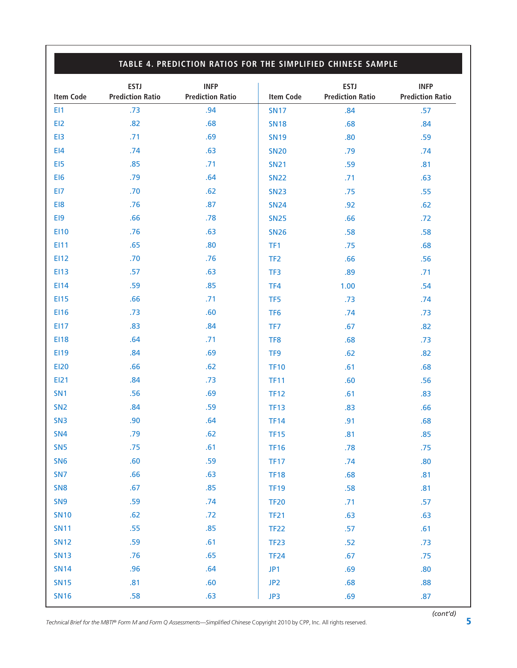### **TABLE 4. PREDICTION RATIOS FOR THE SIMPLIFIED CHINESE SAMPLE**

| <b>Item Code</b> | <b>ESTJ</b><br><b>Prediction Ratio</b> | <b>INFP</b><br><b>Prediction Ratio</b> | <b>Item Code</b> | <b>ESTJ</b><br><b>Prediction Ratio</b> | <b>INFP</b><br><b>Prediction Ratio</b> |
|------------------|----------------------------------------|----------------------------------------|------------------|----------------------------------------|----------------------------------------|
| EI1              | .73                                    | .94                                    | <b>SN17</b>      | .84                                    | .57                                    |
| EI2              | .82                                    | .68                                    | <b>SN18</b>      | .68                                    | .84                                    |
| EI3              | .71                                    | .69                                    | <b>SN19</b>      | .80                                    | .59                                    |
| E14              | .74                                    | .63                                    | <b>SN20</b>      | .79                                    | .74                                    |
| EI5              | .85                                    | .71                                    | <b>SN21</b>      | .59                                    | .81                                    |
| EI6              | .79                                    | .64                                    | <b>SN22</b>      | .71                                    | .63                                    |
| EI7              | .70                                    | .62                                    | <b>SN23</b>      | .75                                    | .55                                    |
| EI8              | .76                                    | .87                                    | <b>SN24</b>      | .92                                    | .62                                    |
| EI9              | .66                                    | .78                                    | <b>SN25</b>      | .66                                    | .72                                    |
| E110             | .76                                    | .63                                    | <b>SN26</b>      | .58                                    | .58                                    |
| EI11             | .65                                    | .80                                    | TF1              | .75                                    | .68                                    |
| <b>EI12</b>      | .70                                    | .76                                    | TF <sub>2</sub>  | .66                                    | .56                                    |
| <b>EI13</b>      | .57                                    | .63                                    | TF3              | .89                                    | .71                                    |
| EI14             | .59                                    | .85                                    | TF4              | 1.00                                   | .54                                    |
| <b>EI15</b>      | .66                                    | .71                                    | TF <sub>5</sub>  | .73                                    | .74                                    |
| EI16             | .73                                    | .60                                    | TF <sub>6</sub>  | .74                                    | .73                                    |
| <b>EI17</b>      | .83                                    | .84                                    | TF7              | .67                                    | .82                                    |
| <b>EI18</b>      | .64                                    | .71                                    | TF8              | .68                                    | .73                                    |
| EI19             | .84                                    | .69                                    | TF <sub>9</sub>  | .62                                    | .82                                    |
| <b>EI20</b>      | .66                                    | .62                                    | <b>TF10</b>      | .61                                    | .68                                    |
| EI21             | .84                                    | .73                                    | <b>TF11</b>      | .60                                    | .56                                    |
| SN <sub>1</sub>  | .56                                    | .69                                    | <b>TF12</b>      | .61                                    | .83                                    |
| SN <sub>2</sub>  | .84                                    | .59                                    | <b>TF13</b>      | .83                                    | .66                                    |
| SN <sub>3</sub>  | .90                                    | .64                                    | <b>TF14</b>      | .91                                    | .68                                    |
| <b>SN4</b>       | .79                                    | .62                                    | <b>TF15</b>      | .81                                    | .85                                    |
| SN <sub>5</sub>  | .75                                    | .61                                    | <b>TF16</b>      | .78                                    | .75                                    |
| SN <sub>6</sub>  | .60                                    | .59                                    | <b>TF17</b>      | .74                                    | .80                                    |
| SN <sub>7</sub>  | .66                                    | .63                                    | <b>TF18</b>      | .68                                    | .81                                    |
| SN <sub>8</sub>  | .67                                    | .85                                    | <b>TF19</b>      | .58                                    | .81                                    |
| SN <sub>9</sub>  | .59                                    | .74                                    | <b>TF20</b>      | .71                                    | .57                                    |
| <b>SN10</b>      | .62                                    | .72                                    | <b>TF21</b>      | .63                                    | .63                                    |
| <b>SN11</b>      | .55                                    | .85                                    | <b>TF22</b>      | .57                                    | .61                                    |
| <b>SN12</b>      | .59                                    | .61                                    | <b>TF23</b>      | .52                                    | .73                                    |
| <b>SN13</b>      | .76                                    | .65                                    | <b>TF24</b>      | .67                                    | .75                                    |
| <b>SN14</b>      | .96                                    | .64                                    | JP1              | .69                                    | .80                                    |
| <b>SN15</b>      | .81                                    | .60                                    | JP <sub>2</sub>  | .68                                    | .88                                    |
| <b>SN16</b>      | .58                                    | .63                                    | JP3              | .69                                    | .87                                    |

*Technical Brief for the MBTI® Form M and Form Q Assessments—Simplified Chinese* Copyright 2010 by CPP, Inc. All rights reserved. **5**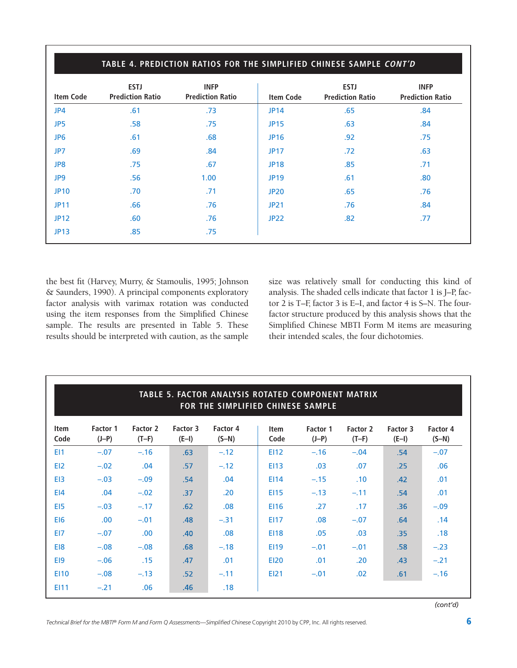|                  | TABLE 4. PREDICTION RATIOS FOR THE SIMPLIFIED CHINESE SAMPLE CONT'D |                                        |                  |                                        |                                        |  |  |  |  |
|------------------|---------------------------------------------------------------------|----------------------------------------|------------------|----------------------------------------|----------------------------------------|--|--|--|--|
| <b>Item Code</b> | <b>ESTJ</b><br><b>Prediction Ratio</b>                              | <b>INFP</b><br><b>Prediction Ratio</b> | <b>Item Code</b> | <b>ESTJ</b><br><b>Prediction Ratio</b> | <b>INFP</b><br><b>Prediction Ratio</b> |  |  |  |  |
| JP4              | .61                                                                 | .73                                    | <b>JP14</b>      | .65                                    | .84                                    |  |  |  |  |
| JP5              | .58                                                                 | .75                                    | <b>JP15</b>      | .63                                    | .84                                    |  |  |  |  |
| JP <sub>6</sub>  | .61                                                                 | .68                                    | <b>JP16</b>      | .92                                    | .75                                    |  |  |  |  |
| JP7              | .69                                                                 | .84                                    | <b>JP17</b>      | .72                                    | .63                                    |  |  |  |  |
| JP8              | .75                                                                 | .67                                    | <b>JP18</b>      | .85                                    | .71                                    |  |  |  |  |
| JP9              | .56                                                                 | 1.00                                   | <b>JP19</b>      | .61                                    | .80                                    |  |  |  |  |
| <b>JP10</b>      | .70                                                                 | .71                                    | <b>JP20</b>      | .65                                    | .76                                    |  |  |  |  |
| <b>JP11</b>      | .66                                                                 | .76                                    | <b>JP21</b>      | .76                                    | .84                                    |  |  |  |  |
| <b>JP12</b>      | .60                                                                 | .76                                    | <b>JP22</b>      | .82                                    | .77                                    |  |  |  |  |
| <b>JP13</b>      | .85                                                                 | .75                                    |                  |                                        |                                        |  |  |  |  |

the best fit (Harvey, Murry, & Stamoulis, 1995; Johnson & Saunders, 1990). A principal components exploratory factor analysis with varimax rotation was conducted using the item responses from the Simplified Chinese sample. The results are presented in Table 5. These results should be interpreted with caution, as the sample

size was relatively small for conducting this kind of analysis. The shaded cells indicate that factor 1 is J–P, factor 2 is T–F, factor 3 is E–I, and factor 4 is S–N. The fourfactor structure produced by this analysis shows that the Simplified Chinese MBTI Form M items are measuring their intended scales, the four dichotomies.

| TABLE 5. FACTOR ANALYSIS ROTATED COMPONENT MATRIX<br>FOR THE SIMPLIFIED CHINESE SAMPLE |                     |                     |                     |                     |                     |                     |                     |                     |                     |
|----------------------------------------------------------------------------------------|---------------------|---------------------|---------------------|---------------------|---------------------|---------------------|---------------------|---------------------|---------------------|
| <b>Item</b><br>Code                                                                    | Factor 1<br>$(J-P)$ | Factor 2<br>$(T-F)$ | Factor 3<br>$(E-I)$ | Factor 4<br>$(S-N)$ | <b>Item</b><br>Code | Factor 1<br>$(J-P)$ | Factor 2<br>$(T-F)$ | Factor 3<br>$(E-I)$ | Factor 4<br>$(S-N)$ |
| E <sub>11</sub>                                                                        | $-.07$              | $-.16$              | .63                 | $-.12$              | <b>EI12</b>         | $-.16$              | $-.04$              | .54                 | $-.07$              |
| EI <sub>2</sub>                                                                        | $-.02$              | .04                 | .57                 | $-.12$              | <b>EI13</b>         | .03                 | .07                 | .25                 | .06                 |
| E <sub>13</sub>                                                                        | $-.03$              | $-.09$              | .54                 | .04                 | E114                | $-.15$              | .10                 | .42                 | .01                 |
| E <sub>14</sub>                                                                        | .04                 | $-.02$              | .37                 | .20                 | <b>EI15</b>         | $-.13$              | $-.11$              | .54                 | .01                 |
| E <sub>15</sub>                                                                        | $-.03$              | $-.17$              | .62                 | .08                 | <b>EI16</b>         | .27                 | .17                 | .36                 | $-.09$              |
| E <sub>16</sub>                                                                        | .00                 | $-.01$              | .48                 | $-.31$              | <b>EI17</b>         | .08                 | $-.07$              | .64                 | .14                 |
| EI7                                                                                    | $-.07$              | .00 <sub>1</sub>    | .40                 | .08                 | <b>EI18</b>         | .05                 | .03                 | .35                 | .18                 |
| E <sub>18</sub>                                                                        | $-.08$              | $-.08$              | .68                 | $-.18$              | <b>EI19</b>         | $-.01$              | $-.01$              | .58                 | $-.23$              |
| E <sub>19</sub>                                                                        | $-.06$              | .15                 | .47                 | .01                 | <b>EI20</b>         | .01                 | .20                 | .43                 | $-.21$              |
| <b>EI10</b>                                                                            | $-.08$              | $-.13$              | .52                 | $-.11$              | <b>EI21</b>         | $-.01$              | .02                 | .61                 | $-.16$              |
| EI11                                                                                   | $-.21$              | .06                 | .46                 | .18                 |                     |                     |                     |                     |                     |

*(cont'd)*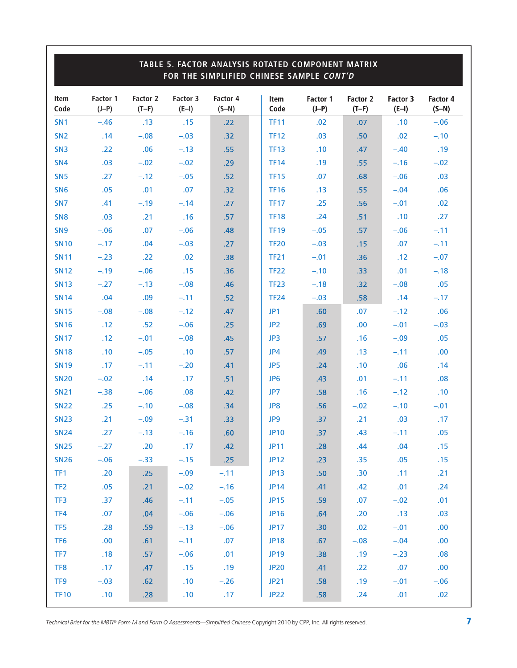|                 | TABLE 5. FACTOR ANALYSIS ROTATED COMPONENT MATRIX<br>FOR THE SIMPLIFIED CHINESE SAMPLE CONT'D |                     |                     |                     |  |                 |                     |                            |                     |                     |
|-----------------|-----------------------------------------------------------------------------------------------|---------------------|---------------------|---------------------|--|-----------------|---------------------|----------------------------|---------------------|---------------------|
| Item<br>Code    | Factor 1<br>$(J-P)$                                                                           | Factor 2<br>$(T-F)$ | Factor 3<br>$(E-I)$ | Factor 4<br>$(S-N)$ |  | Item<br>Code    | Factor 1<br>$(J-P)$ | <b>Factor 2</b><br>$(T-F)$ | Factor 3<br>$(E-I)$ | Factor 4<br>$(S-N)$ |
| SN <sub>1</sub> | $-.46$                                                                                        | .13                 | .15                 | .22                 |  | <b>TF11</b>     | .02                 | .07                        | .10                 | $-.06$              |
| SN <sub>2</sub> | .14                                                                                           | $-.08$              | $-.03$              | .32                 |  | <b>TF12</b>     | .03                 | .50                        | .02                 | $-.10$              |
| SN <sub>3</sub> | .22                                                                                           | .06                 | $-.13$              | .55                 |  | <b>TF13</b>     | .10                 | .47                        | $-.40$              | .19                 |
| SN <sub>4</sub> | .03                                                                                           | $-.02$              | $-.02$              | .29                 |  | <b>TF14</b>     | .19                 | .55                        | $-.16$              | $-.02$              |
| SN <sub>5</sub> | .27                                                                                           | $-.12$              | $-.05$              | .52                 |  | <b>TF15</b>     | .07                 | .68                        | $-.06$              | .03                 |
| SN <sub>6</sub> | .05                                                                                           | .01                 | .07                 | .32                 |  | <b>TF16</b>     | .13                 | .55                        | $-.04$              | .06                 |
| SN <sub>7</sub> | .41                                                                                           | $-.19$              | $-.14$              | .27                 |  | <b>TF17</b>     | .25                 | .56                        | $-.01$              | .02                 |
| SN <sub>8</sub> | .03                                                                                           | .21                 | .16                 | .57                 |  | <b>TF18</b>     | .24                 | .51                        | .10                 | .27                 |
| SN <sub>9</sub> | $-.06$                                                                                        | .07                 | $-.06$              | .48                 |  | <b>TF19</b>     | $-.05$              | .57                        | $-.06$              | $-.11$              |
| <b>SN10</b>     | $-.17$                                                                                        | .04                 | $-.03$              | .27                 |  | <b>TF20</b>     | $-.03$              | .15                        | .07                 | $-.11$              |
| <b>SN11</b>     | $-.23$                                                                                        | .22                 | .02                 | .38                 |  | <b>TF21</b>     | $-.01$              | .36                        | .12                 | $-.07$              |
| <b>SN12</b>     | $-.19$                                                                                        | $-.06$              | .15                 | .36                 |  | <b>TF22</b>     | $-.10$              | .33                        | .01                 | $-.18$              |
| <b>SN13</b>     | $-.27$                                                                                        | $-.13$              | $-.08$              | .46                 |  | <b>TF23</b>     | $-.18$              | .32                        | $-.08$              | .05                 |
| <b>SN14</b>     | .04                                                                                           | .09                 | $-.11$              | .52                 |  | <b>TF24</b>     | $-.03$              | .58                        | .14                 | $-.17$              |
| <b>SN15</b>     | $-.08$                                                                                        | $-.08$              | $-.12$              | .47                 |  | JP1             | .60                 | .07                        | $-.12$              | .06                 |
| <b>SN16</b>     | .12                                                                                           | .52                 | $-.06$              | .25                 |  | JP <sub>2</sub> | .69                 | .00                        | $-.01$              | $-.03$              |
| <b>SN17</b>     | .12                                                                                           | $-.01$              | $-.08$              | .45                 |  | JP3             | .57                 | .16                        | $-.09$              | .05                 |
| <b>SN18</b>     | .10                                                                                           | $-.05$              | .10                 | .57                 |  | JP4             | .49                 | .13                        | $-.11$              | .00                 |
| <b>SN19</b>     | .17                                                                                           | $-.11$              | $-.20$              | .41                 |  | JP5             | .24                 | .10                        | .06                 | .14                 |
| <b>SN20</b>     | $-.02$                                                                                        | .14                 | .17                 | .51                 |  | JP <sub>6</sub> | .43                 | .01                        | $-.11$              | .08                 |
| <b>SN21</b>     | $-.38$                                                                                        | $-.06$              | .08                 | .42                 |  | JP7             | .58                 | .16                        | $-.12$              | .10                 |
| <b>SN22</b>     | .25                                                                                           | $-.10$              | $-.08$              | .34                 |  | JP8             | .56                 | $-.02$                     | $-.10$              | $-.01$              |
| <b>SN23</b>     | .21                                                                                           | $-.09$              | $-.31$              | .33                 |  | JP9             | .37                 | .21                        | .03                 | .17                 |
| <b>SN24</b>     | .27                                                                                           | $-.13$              | $-.16$              | .60                 |  | <b>JP10</b>     | .37                 | .43                        | $-.11$              | .05                 |
| <b>SN25</b>     | $-.27$                                                                                        | .20                 | .17                 | .42                 |  | <b>JP11</b>     | .28                 | .44                        | .04                 | .15                 |
| <b>SN26</b>     | $-.06$                                                                                        | $-.33$              | $-.15$              | .25                 |  | <b>JP12</b>     | .23                 | .35                        | .05                 | .15                 |
| TF1             | .20                                                                                           | .25                 | $-.09$              | $-.11$              |  | <b>JP13</b>     | .50                 | .30                        | .11                 | .21                 |
| TF <sub>2</sub> | .05                                                                                           | .21                 | $-.02$              | $-.16$              |  | <b>JP14</b>     | .41                 | .42                        | .01                 | .24                 |
| TF3             | .37                                                                                           | .46                 | $-.11$              | $-.05$              |  | <b>JP15</b>     | .59                 | .07                        | $-.02$              | .01                 |
| TF4             | .07                                                                                           | .04                 | $-.06$              | $-.06$              |  | <b>JP16</b>     | .64                 | .20                        | .13                 | .03                 |
| TF <sub>5</sub> | .28                                                                                           | .59                 | $-.13$              | $-.06$              |  | <b>JP17</b>     | .30                 | .02                        | $-.01$              | .00                 |
| TF <sub>6</sub> | .00                                                                                           | .61                 | $-.11$              | .07                 |  | <b>JP18</b>     | .67                 | $-.08$                     | $-.04$              | .00                 |
| TF7             | .18                                                                                           | .57                 | $-.06$              | .01                 |  | <b>JP19</b>     | .38                 | .19                        | $-.23$              | .08                 |
| TF8             | .17                                                                                           | .47                 | .15                 | .19                 |  | <b>JP20</b>     | .41                 | .22                        | .07                 | .00                 |
| TF <sub>9</sub> | $-.03$                                                                                        | .62                 | .10                 | $-.26$              |  | JP21            | .58                 | .19                        | $-.01$              | $-.06$              |
| <b>TF10</b>     | .10                                                                                           | .28                 | .10                 | .17                 |  | <b>JP22</b>     | .58                 | .24                        | .01                 | .02                 |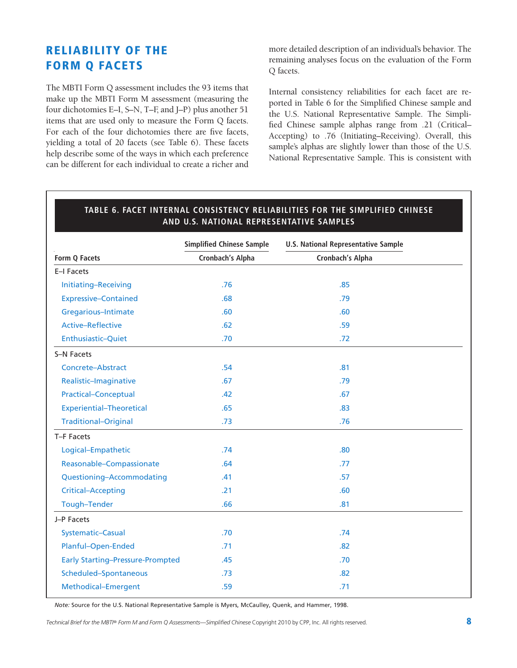### **RELIABILITY OF THE FORM Q FACETS**

The MBTI Form Q assessment includes the 93 items that make up the MBTI Form M assessment (measuring the four dichotomies E–I, S–N, T–F, and J–P) plus another 51 items that are used only to measure the Form Q facets. For each of the four dichotomies there are five facets, yielding a total of 20 facets (see Table 6). These facets help describe some of the ways in which each preference can be different for each individual to create a richer and

more detailed description of an individual's behavior. The remaining analyses focus on the evaluation of the Form Q facets.

Internal consistency reliabilities for each facet are reported in Table 6 for the Simplified Chinese sample and the U.S. National Representative Sample. The Simplified Chinese sample alphas range from .21 (Critical– Accepting) to .76 (Initiating–Receiving). Overall, this sample's alphas are slightly lower than those of the U.S. National Representative Sample. This is consistent with

|                                         | <b>Simplified Chinese Sample</b> | <b>U.S. National Representative Sample</b> |
|-----------------------------------------|----------------------------------|--------------------------------------------|
| Form Q Facets                           | Cronbach's Alpha                 | Cronbach's Alpha                           |
| E-I Facets                              |                                  |                                            |
| Initiating-Receiving                    | .76                              | .85                                        |
| <b>Expressive-Contained</b>             | .68                              | .79                                        |
| Gregarious-Intimate                     | .60                              | .60                                        |
| <b>Active-Reflective</b>                | .62                              | .59                                        |
| Enthusiastic-Quiet                      | .70                              | .72                                        |
| S-N Facets                              |                                  |                                            |
| Concrete-Abstract                       | .54                              | .81                                        |
| Realistic-Imaginative                   | .67                              | .79                                        |
| <b>Practical-Conceptual</b>             | .42                              | .67                                        |
| <b>Experiential-Theoretical</b>         | .65                              | .83                                        |
| <b>Traditional-Original</b>             | .73                              | .76                                        |
| T-F Facets                              |                                  |                                            |
| Logical-Empathetic                      | .74                              | .80                                        |
| Reasonable-Compassionate                | .64                              | .77                                        |
| Questioning-Accommodating               | .41                              | .57                                        |
| <b>Critical-Accepting</b>               | .21                              | .60                                        |
| Tough-Tender                            | .66                              | .81                                        |
| J-P Facets                              |                                  |                                            |
| Systematic-Casual                       | .70                              | .74                                        |
| Planful-Open-Ended                      | .71                              | .82                                        |
| <b>Early Starting-Pressure-Prompted</b> | .45                              | .70                                        |
| Scheduled-Spontaneous                   | .73                              | .82                                        |
| Methodical-Emergent                     | .59                              | .71                                        |
|                                         |                                  |                                            |

## **TABLE 6. FACET INTERNAL CONSISTENCY RELIABILITIES FOR THE SIMPLIFIED CHINESE**

*Note:* Source for the U.S. National Representative Sample is Myers, McCaulley, Quenk, and Hammer, 1998.

*Technical Brief for the MBTI® Form M and Form Q Assessments—Simplified Chinese* Copyright 2010 by CPP, Inc. All rights reserved. **8**